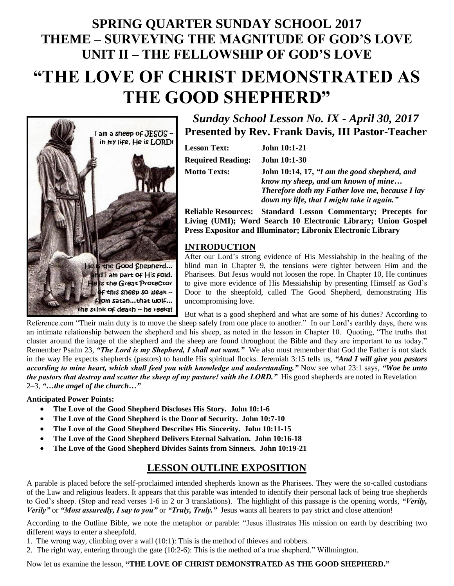# **SPRING QUARTER SUNDAY SCHOOL 2017 THEME – SURVEYING THE MAGNITUDE OF GOD'S LOVE UNIT II – THE FELLOWSHIP OF GOD'S LOVE "THE LOVE OF CHRIST DEMONSTRATED AS**

**THE GOOD SHEPHERD"**



*Sunday School Lesson No. IX - April 30, 2017* **Presented by Rev. Frank Davis, III Pastor-Teacher**

| <b>Lesson Text:</b>      | <b>John 10:1-21</b>                                                                                                                   |
|--------------------------|---------------------------------------------------------------------------------------------------------------------------------------|
| <b>Required Reading:</b> | <b>John 10:1-30</b>                                                                                                                   |
| Motto Texts:             | John 10:14, 17, "I am the good shepherd, and<br>know my sheep, and am known of mine<br>Therefore doth my Eather love me because I lay |

*Therefore doth my Father love me, because I lay down my life, that I might take it again."* **Reliable Resources: Standard Lesson Commentary; Precepts for** 

**Living (UMI); Word Search 10 Electronic Library; Union Gospel Press Expositor and Illuminator; Libronix Electronic Library**

# **INTRODUCTION**

After our Lord's strong evidence of His Messiahship in the healing of the blind man in Chapter 9, the tensions were tighter between Him and the Pharisees. But Jesus would not loosen the rope. In Chapter 10, He continues to give more evidence of His Messiahship by presenting Himself as God's Door to the sheepfold, called The Good Shepherd, demonstrating His uncompromising love.

But what is a good shepherd and what are some of his duties? According to Reference.com "Their main duty is to move the sheep safely from one place to another." In our Lord's earthly days, there was an intimate relationship between the shepherd and his sheep, as noted in the lesson in Chapter 10. Quoting, "The truths that cluster around the image of the shepherd and the sheep are found throughout the Bible and they are important to us today." Remember Psalm 23, *"The Lord is my Shepherd, I shall not want."* We also must remember that God the Father is not slack in the way He expects shepherds (pastors) to handle His spiritual flocks. Jeremiah 3:15 tells us, *"And I will give you pastors according to mine heart, which shall feed you with knowledge and understanding."* Now see what 23:1 says, *"Woe be unto the pastors that destroy and scatter the sheep of my pasture! saith the LORD.*" His good shepherds are noted in Revelation 2–3, *"…the angel of the church…"*

#### **Anticipated Power Points:**

- **The Love of the Good Shepherd Discloses His Story. John 10:1-6**
- **The Love of the Good Shepherd is the Door of Security. John 10:7-10**
- **The Love of the Good Shepherd Describes His Sincerity. John 10:11-15**
- **The Love of the Good Shepherd Delivers Eternal Salvation. John 10:16-18**
- **The Love of the Good Shepherd Divides Saints from Sinners. John 10:19-21**

# **LESSON OUTLINE EXPOSITION**

A parable is placed before the self-proclaimed intended shepherds known as the Pharisees. They were the so-called custodians of the Law and religious leaders. It appears that this parable was intended to identify their personal lack of being true shepherds to God's sheep. (Stop and read verses 1-6 in 2 or 3 translations). The highlight of this passage is the opening words, *"Verily, Verily"* or *"Most assuredly, I say to you"* or *"Truly, Truly."* Jesus wants all hearers to pay strict and close attention!

According to the Outline Bible, we note the metaphor or parable: "Jesus illustrates His mission on earth by describing two different ways to enter a sheepfold.

1. The wrong way, climbing over a wall (10:1): This is the method of thieves and robbers.

2. The right way, entering through the gate (10:2-6): This is the method of a true shepherd." Willmington.

Now let us examine the lesson, **"THE LOVE OF CHRIST DEMONSTRATED AS THE GOOD SHEPHERD."**